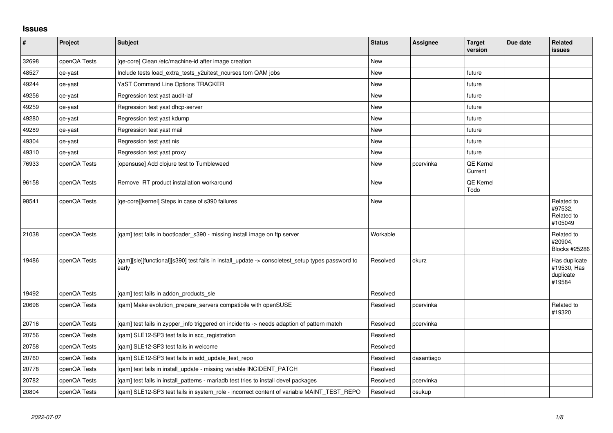## **Issues**

| $\vert$ # | Project      | <b>Subject</b>                                                                                            | <b>Status</b> | <b>Assignee</b> | <b>Target</b><br>version | Due date | <b>Related</b><br>issues                            |
|-----------|--------------|-----------------------------------------------------------------------------------------------------------|---------------|-----------------|--------------------------|----------|-----------------------------------------------------|
| 32698     | openQA Tests | [qe-core] Clean /etc/machine-id after image creation                                                      | <b>New</b>    |                 |                          |          |                                                     |
| 48527     | qe-yast      | Include tests load_extra_tests_y2uitest_ncurses tom QAM jobs                                              | <b>New</b>    |                 | future                   |          |                                                     |
| 49244     | qe-yast      | YaST Command Line Options TRACKER                                                                         | <b>New</b>    |                 | future                   |          |                                                     |
| 49256     | qe-yast      | Regression test yast audit-laf                                                                            | <b>New</b>    |                 | future                   |          |                                                     |
| 49259     | qe-yast      | Regression test yast dhcp-server                                                                          | <b>New</b>    |                 | future                   |          |                                                     |
| 49280     | qe-yast      | Regression test yast kdump                                                                                | <b>New</b>    |                 | future                   |          |                                                     |
| 49289     | qe-yast      | Regression test yast mail                                                                                 | New           |                 | future                   |          |                                                     |
| 49304     | qe-yast      | Regression test yast nis                                                                                  | <b>New</b>    |                 | future                   |          |                                                     |
| 49310     | qe-yast      | Regression test yast proxy                                                                                | <b>New</b>    |                 | future                   |          |                                                     |
| 76933     | openQA Tests | [opensuse] Add clojure test to Tumbleweed                                                                 | <b>New</b>    | pcervinka       | QE Kernel<br>Current     |          |                                                     |
| 96158     | openQA Tests | Remove RT product installation workaround                                                                 | <b>New</b>    |                 | QE Kernel<br>Todo        |          |                                                     |
| 98541     | openQA Tests | [ge-core][kernel] Steps in case of s390 failures                                                          | <b>New</b>    |                 |                          |          | Related to<br>#97532,<br>Related to<br>#105049      |
| 21038     | openQA Tests | [gam] test fails in bootloader s390 - missing install image on ftp server                                 | Workable      |                 |                          |          | Related to<br>#20904.<br>Blocks #25286              |
| 19486     | openQA Tests | [qam][sle][functional][s390] test fails in install_update -> consoletest_setup types password to<br>early | Resolved      | okurz           |                          |          | Has duplicate<br>#19530, Has<br>duplicate<br>#19584 |
| 19492     | openQA Tests | [qam] test fails in addon_products_sle                                                                    | Resolved      |                 |                          |          |                                                     |
| 20696     | openQA Tests | [qam] Make evolution_prepare_servers compatibile with openSUSE                                            | Resolved      | pcervinka       |                          |          | Related to<br>#19320                                |
| 20716     | openQA Tests | [qam] test fails in zypper_info triggered on incidents -> needs adaption of pattern match                 | Resolved      | pcervinka       |                          |          |                                                     |
| 20756     | openQA Tests | [qam] SLE12-SP3 test fails in scc_registration                                                            | Resolved      |                 |                          |          |                                                     |
| 20758     | openQA Tests | [qam] SLE12-SP3 test fails in welcome                                                                     | Resolved      |                 |                          |          |                                                     |
| 20760     | openQA Tests | [gam] SLE12-SP3 test fails in add update test repo                                                        | Resolved      | dasantiago      |                          |          |                                                     |
| 20778     | openQA Tests | [qam] test fails in install_update - missing variable INCIDENT_PATCH                                      | Resolved      |                 |                          |          |                                                     |
| 20782     | openQA Tests | [qam] test fails in install_patterns - mariadb test tries to install devel packages                       | Resolved      | pcervinka       |                          |          |                                                     |
| 20804     | openQA Tests | [qam] SLE12-SP3 test fails in system_role - incorrect content of variable MAINT_TEST_REPO                 | Resolved      | osukup          |                          |          |                                                     |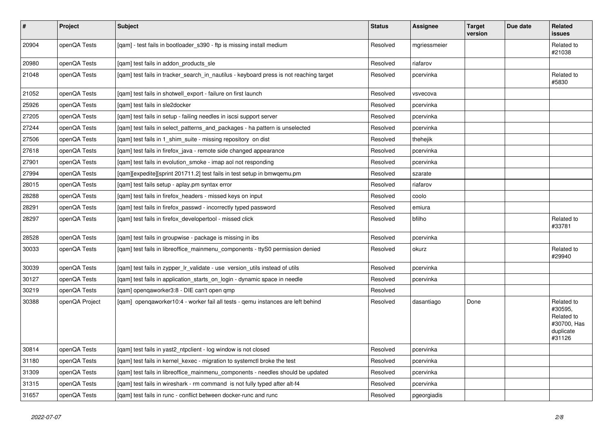| $\vert$ # | Project        | <b>Subject</b>                                                                         | <b>Status</b> | Assignee     | <b>Target</b><br>version | Due date | <b>Related</b><br><b>issues</b>                                           |
|-----------|----------------|----------------------------------------------------------------------------------------|---------------|--------------|--------------------------|----------|---------------------------------------------------------------------------|
| 20904     | openQA Tests   | [qam] - test fails in bootloader_s390 - ftp is missing install medium                  | Resolved      | mgriessmeier |                          |          | Related to<br>#21038                                                      |
| 20980     | openQA Tests   | [gam] test fails in addon products sle                                                 | Resolved      | riafarov     |                          |          |                                                                           |
| 21048     | openQA Tests   | [gam] test fails in tracker search in nautilus - keyboard press is not reaching target | Resolved      | pcervinka    |                          |          | Related to<br>#5830                                                       |
| 21052     | openQA Tests   | [gam] test fails in shotwell export - failure on first launch                          | Resolved      | vsvecova     |                          |          |                                                                           |
| 25926     | openQA Tests   | [gam] test fails in sle2docker                                                         | Resolved      | pcervinka    |                          |          |                                                                           |
| 27205     | openQA Tests   | [gam] test fails in setup - failing needles in iscsi support server                    | Resolved      | pcervinka    |                          |          |                                                                           |
| 27244     | openQA Tests   | [qam] test fails in select_patterns_and_packages - ha pattern is unselected            | Resolved      | pcervinka    |                          |          |                                                                           |
| 27506     | openQA Tests   | [gam] test fails in 1 shim suite - missing repository on dist                          | Resolved      | thehejik     |                          |          |                                                                           |
| 27618     | openQA Tests   | [gam] test fails in firefox java - remote side changed appearance                      | Resolved      | pcervinka    |                          |          |                                                                           |
| 27901     | openQA Tests   | [qam] test fails in evolution_smoke - imap aol not responding                          | Resolved      | pcervinka    |                          |          |                                                                           |
| 27994     | openQA Tests   | [qam][expedite][sprint 201711.2] test fails in test setup in bmwqemu.pm                | Resolved      | szarate      |                          |          |                                                                           |
| 28015     | openQA Tests   | [gam] test fails setup - aplay.pm syntax error                                         | Resolved      | riafarov     |                          |          |                                                                           |
| 28288     | openQA Tests   | [gam] test fails in firefox headers - missed keys on input                             | Resolved      | coolo        |                          |          |                                                                           |
| 28291     | openQA Tests   | [qam] test fails in firefox_passwd - incorrectly typed password                        | Resolved      | emiura       |                          |          |                                                                           |
| 28297     | openQA Tests   | [qam] test fails in firefox_developertool - missed click                               | Resolved      | bfilho       |                          |          | Related to<br>#33781                                                      |
| 28528     | openQA Tests   | [qam] test fails in groupwise - package is missing in ibs                              | Resolved      | pcervinka    |                          |          |                                                                           |
| 30033     | openQA Tests   | [qam] test fails in libreoffice_mainmenu_components - ttyS0 permission denied          | Resolved      | okurz        |                          |          | Related to<br>#29940                                                      |
| 30039     | openQA Tests   | [gam] test fails in zypper Ir validate - use version utils instead of utils            | Resolved      | pcervinka    |                          |          |                                                                           |
| 30127     | openQA Tests   | [gam] test fails in application starts on login - dynamic space in needle              | Resolved      | pcervinka    |                          |          |                                                                           |
| 30219     | openQA Tests   | [qam] openqaworker3:8 - DIE can't open qmp                                             | Resolved      |              |                          |          |                                                                           |
| 30388     | openQA Project | [qam] openqaworker10:4 - worker fail all tests - qemu instances are left behind        | Resolved      | dasantiago   | Done                     |          | Related to<br>#30595,<br>Related to<br>#30700, Has<br>duplicate<br>#31126 |
| 30814     | openQA Tests   | [gam] test fails in yast2 ntpclient - log window is not closed                         | Resolved      | pcervinka    |                          |          |                                                                           |
| 31180     | openQA Tests   | [qam] test fails in kernel_kexec - migration to systemctl broke the test               | Resolved      | pcervinka    |                          |          |                                                                           |
| 31309     | openQA Tests   | [gam] test fails in libreoffice mainmenu components - needles should be updated        | Resolved      | pcervinka    |                          |          |                                                                           |
| 31315     | openQA Tests   | [qam] test fails in wireshark - rm command is not fully typed after alt-f4             | Resolved      | pcervinka    |                          |          |                                                                           |
| 31657     | openQA Tests   | [qam] test fails in runc - conflict between docker-runc and runc                       | Resolved      | pgeorgiadis  |                          |          |                                                                           |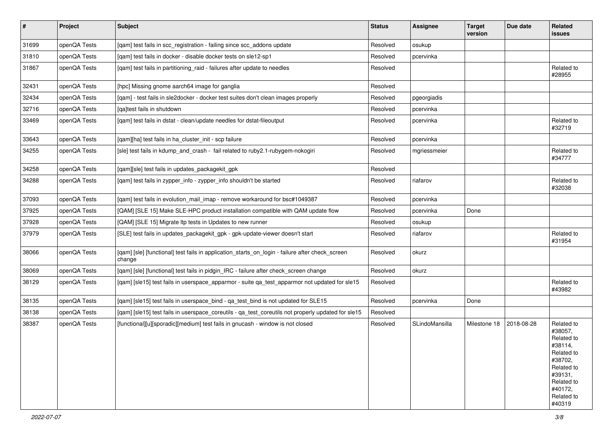| $\vert$ # | Project      | <b>Subject</b>                                                                                            | <b>Status</b> | <b>Assignee</b> | <b>Target</b><br>version | Due date   | Related<br>issues                                                                                                                                 |
|-----------|--------------|-----------------------------------------------------------------------------------------------------------|---------------|-----------------|--------------------------|------------|---------------------------------------------------------------------------------------------------------------------------------------------------|
| 31699     | openQA Tests | [qam] test fails in scc_registration - failing since scc_addons update                                    | Resolved      | osukup          |                          |            |                                                                                                                                                   |
| 31810     | openQA Tests | [qam] test fails in docker - disable docker tests on sle12-sp1                                            | Resolved      | pcervinka       |                          |            |                                                                                                                                                   |
| 31867     | openQA Tests | [qam] test fails in partitioning_raid - failures after update to needles                                  | Resolved      |                 |                          |            | Related to<br>#28955                                                                                                                              |
| 32431     | openQA Tests | [hpc] Missing gnome aarch64 image for ganglia                                                             | Resolved      |                 |                          |            |                                                                                                                                                   |
| 32434     | openQA Tests | [qam] - test fails in sle2docker - docker test suites don't clean images properly                         | Resolved      | pgeorgiadis     |                          |            |                                                                                                                                                   |
| 32716     | openQA Tests | [ga]test fails in shutdown                                                                                | Resolved      | pcervinka       |                          |            |                                                                                                                                                   |
| 33469     | openQA Tests | [qam] test fails in dstat - clean/update needles for dstat-fileoutput                                     | Resolved      | pcervinka       |                          |            | Related to<br>#32719                                                                                                                              |
| 33643     | openQA Tests | [qam][ha] test fails in ha_cluster_init - scp failure                                                     | Resolved      | pcervinka       |                          |            |                                                                                                                                                   |
| 34255     | openQA Tests | [sle] test fails in kdump_and_crash - fail related to ruby2.1-rubygem-nokogiri                            | Resolved      | mgriessmeier    |                          |            | Related to<br>#34777                                                                                                                              |
| 34258     | openQA Tests | [qam][sle] test fails in updates_packagekit_gpk                                                           | Resolved      |                 |                          |            |                                                                                                                                                   |
| 34288     | openQA Tests | [qam] test fails in zypper_info - zypper_info shouldn't be started                                        | Resolved      | riafarov        |                          |            | Related to<br>#32038                                                                                                                              |
| 37093     | openQA Tests | [qam] test fails in evolution_mail_imap - remove workaround for bsc#1049387                               | Resolved      | pcervinka       |                          |            |                                                                                                                                                   |
| 37925     | openQA Tests | [QAM] [SLE 15] Make SLE-HPC product installation compatible with QAM update flow                          | Resolved      | pcervinka       | Done                     |            |                                                                                                                                                   |
| 37928     | openQA Tests | [QAM] [SLE 15] Migrate Itp tests in Updates to new runner                                                 | Resolved      | osukup          |                          |            |                                                                                                                                                   |
| 37979     | openQA Tests | [SLE] test fails in updates_packagekit_gpk - gpk-update-viewer doesn't start                              | Resolved      | riafarov        |                          |            | Related to<br>#31954                                                                                                                              |
| 38066     | openQA Tests | [qam] [sle] [functional] test fails in application_starts_on_login - failure after check_screen<br>change | Resolved      | okurz           |                          |            |                                                                                                                                                   |
| 38069     | openQA Tests | [qam] [sle] [functional] test fails in pidgin_IRC - failure after check_screen change                     | Resolved      | okurz           |                          |            |                                                                                                                                                   |
| 38129     | openQA Tests | [qam] [sle15] test fails in userspace_apparmor - suite qa_test_apparmor not updated for sle15             | Resolved      |                 |                          |            | Related to<br>#43982                                                                                                                              |
| 38135     | openQA Tests | [gam] [sle15] test fails in userspace bind - ga test bind is not updated for SLE15                        | Resolved      | pcervinka       | Done                     |            |                                                                                                                                                   |
| 38138     | openQA Tests | [qam] [sle15] test fails in userspace_coreutils - qa_test_coreutils not properly updated for sle15        | Resolved      |                 |                          |            |                                                                                                                                                   |
| 38387     | openQA Tests | [functional][u][sporadic][medium] test fails in gnucash - window is not closed                            | Resolved      | SLindoMansilla  | Milestone 18             | 2018-08-28 | Related to<br>#38057,<br>Related to<br>#38114,<br>Related to<br>#38702,<br>Related to<br>#39131,<br>Related to<br>#40172,<br>Related to<br>#40319 |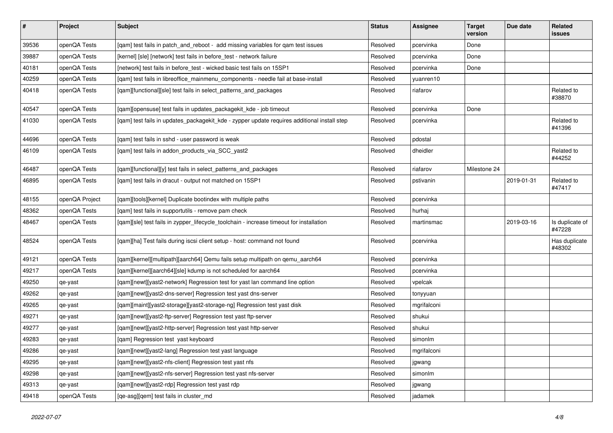| $\vert$ # | Project        | <b>Subject</b>                                                                              | <b>Status</b> | Assignee    | <b>Target</b><br>version | Due date   | <b>Related</b><br><b>issues</b> |
|-----------|----------------|---------------------------------------------------------------------------------------------|---------------|-------------|--------------------------|------------|---------------------------------|
| 39536     | openQA Tests   | [gam] test fails in patch and reboot - add missing variables for gam test issues            | Resolved      | pcervinka   | Done                     |            |                                 |
| 39887     | openQA Tests   | [kernel] [sle] [network] test fails in before test - network failure                        | Resolved      | pcervinka   | Done                     |            |                                 |
| 40181     | openQA Tests   | [network] test fails in before_test - wicked basic test fails on 15SP1                      | Resolved      | pcervinka   | Done                     |            |                                 |
| 40259     | openQA Tests   | [gam] test fails in libreoffice mainmenu components - needle fail at base-install           | Resolved      | yuanren10   |                          |            |                                 |
| 40418     | openQA Tests   | [gam][functional][sle] test fails in select patterns and packages                           | Resolved      | riafarov    |                          |            | Related to<br>#38870            |
| 40547     | openQA Tests   | [gam][opensuse] test fails in updates packagekit kde - job timeout                          | Resolved      | pcervinka   | Done                     |            |                                 |
| 41030     | openQA Tests   | [gam] test fails in updates packagekit kde - zypper update requires additional install step | Resolved      | pcervinka   |                          |            | Related to<br>#41396            |
| 44696     | openQA Tests   | [qam] test fails in sshd - user password is weak                                            | Resolved      | pdostal     |                          |            |                                 |
| 46109     | openQA Tests   | [qam] test fails in addon_products_via_SCC_yast2                                            | Resolved      | dheidler    |                          |            | Related to<br>#44252            |
| 46487     | openQA Tests   | [gam][functional][y] test fails in select_patterns_and_packages                             | Resolved      | riafarov    | Milestone 24             |            |                                 |
| 46895     | openQA Tests   | [qam] test fails in dracut - output not matched on 15SP1                                    | Resolved      | pstivanin   |                          | 2019-01-31 | Related to<br>#47417            |
| 48155     | openQA Project | [gam][tools][kernel] Duplicate bootindex with multiple paths                                | Resolved      | pcervinka   |                          |            |                                 |
| 48362     | openQA Tests   | [gam] test fails in supportutils - remove pam check                                         | Resolved      | hurhaj      |                          |            |                                 |
| 48467     | openQA Tests   | [gam][sle] test fails in zypper lifecycle toolchain - increase timeout for installation     | Resolved      | martinsmac  |                          | 2019-03-16 | Is duplicate of<br>#47228       |
| 48524     | openQA Tests   | [qam][ha] Test fails during iscsi client setup - host: command not found                    | Resolved      | pcervinka   |                          |            | Has duplicate<br>#48302         |
| 49121     | openQA Tests   | [gam][kernel][multipath][aarch64] Qemu fails setup multipath on gemu aarch64                | Resolved      | pcervinka   |                          |            |                                 |
| 49217     | openQA Tests   | [qam][kernel][aarch64][sle] kdump is not scheduled for aarch64                              | Resolved      | pcervinka   |                          |            |                                 |
| 49250     | qe-yast        | [gam][newt][yast2-network] Regression test for yast lan command line option                 | Resolved      | vpelcak     |                          |            |                                 |
| 49262     | qe-yast        | [qam][newt][yast2-dns-server] Regression test yast dns-server                               | Resolved      | tonyyuan    |                          |            |                                 |
| 49265     | qe-yast        | [qam][maint][yast2-storage][yast2-storage-ng] Regression test yast disk                     | Resolved      | mgrifalconi |                          |            |                                 |
| 49271     | qe-yast        | [qam][newt][yast2-ftp-server] Regression test yast ftp-server                               | Resolved      | shukui      |                          |            |                                 |
| 49277     | qe-yast        | [qam][newt][yast2-http-server] Regression test yast http-server                             | Resolved      | shukui      |                          |            |                                 |
| 49283     | qe-yast        | [qam] Regression test yast keyboard                                                         | Resolved      | simonlm     |                          |            |                                 |
| 49286     | qe-yast        | [qam][newt][yast2-lang] Regression test yast language                                       | Resolved      | mgrifalconi |                          |            |                                 |
| 49295     | qe-yast        | [qam][newt][yast2-nfs-client] Regression test yast nfs                                      | Resolved      | jgwang      |                          |            |                                 |
| 49298     | qe-yast        | [qam][newt][yast2-nfs-server] Regression test yast nfs-server                               | Resolved      | simonlm     |                          |            |                                 |
| 49313     | qe-yast        | [qam][newt][yast2-rdp] Regression test yast rdp                                             | Resolved      | jgwang      |                          |            |                                 |
| 49418     | openQA Tests   | [ge-asg][gem] test fails in cluster md                                                      | Resolved      | jadamek     |                          |            |                                 |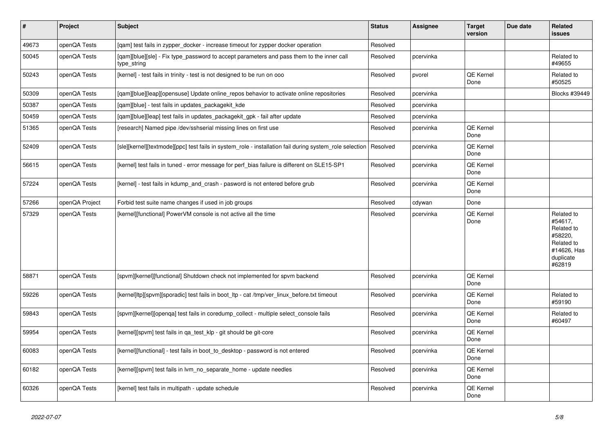| $\vert$ # | Project        | <b>Subject</b>                                                                                                     | <b>Status</b> | <b>Assignee</b> | <b>Target</b><br>version | Due date | <b>Related</b><br><b>issues</b>                                                                    |
|-----------|----------------|--------------------------------------------------------------------------------------------------------------------|---------------|-----------------|--------------------------|----------|----------------------------------------------------------------------------------------------------|
| 49673     | openQA Tests   | [qam] test fails in zypper_docker - increase timeout for zypper docker operation                                   | Resolved      |                 |                          |          |                                                                                                    |
| 50045     | openQA Tests   | [qam][blue][sle] - Fix type_password to accept parameters and pass them to the inner call<br>type_string           | Resolved      | pcervinka       |                          |          | Related to<br>#49655                                                                               |
| 50243     | openQA Tests   | [kernel] - test fails in trinity - test is not designed to be run on ooo                                           | Resolved      | pvorel          | QE Kernel<br>Done        |          | Related to<br>#50525                                                                               |
| 50309     | openQA Tests   | [gam][blue][leap][opensuse] Update online repos behavior to activate online repositories                           | Resolved      | pcervinka       |                          |          | Blocks #39449                                                                                      |
| 50387     | openQA Tests   | [gam][blue] - test fails in updates packagekit kde                                                                 | Resolved      | pcervinka       |                          |          |                                                                                                    |
| 50459     | openQA Tests   | [qam][blue][leap] test fails in updates_packagekit_gpk - fail after update                                         | Resolved      | pcervinka       |                          |          |                                                                                                    |
| 51365     | openQA Tests   | [research] Named pipe /dev/sshserial missing lines on first use                                                    | Resolved      | pcervinka       | QE Kernel<br>Done        |          |                                                                                                    |
| 52409     | openQA Tests   | [sle][kernel][textmode][ppc] test fails in system_role - installation fail during system_role selection   Resolved |               | pcervinka       | QE Kernel<br>Done        |          |                                                                                                    |
| 56615     | openQA Tests   | [kernel] test fails in tuned - error message for perf bias failure is different on SLE15-SP1                       | Resolved      | pcervinka       | QE Kernel<br>Done        |          |                                                                                                    |
| 57224     | openQA Tests   | [kernel] - test fails in kdump_and_crash - pasword is not entered before grub                                      | Resolved      | pcervinka       | QE Kernel<br>Done        |          |                                                                                                    |
| 57266     | openQA Project | Forbid test suite name changes if used in job groups                                                               | Resolved      | cdywan          | Done                     |          |                                                                                                    |
| 57329     | openQA Tests   | [kernel][functional] PowerVM console is not active all the time                                                    | Resolved      | pcervinka       | QE Kernel<br>Done        |          | Related to<br>#54617.<br>Related to<br>#58220.<br>Related to<br>#14626, Has<br>duplicate<br>#62819 |
| 58871     | openQA Tests   | [spvm][kernel][functional] Shutdown check not implemented for spvm backend                                         | Resolved      | pcervinka       | QE Kernel<br>Done        |          |                                                                                                    |
| 59226     | openQA Tests   | [kernel]ltp][spvm][sporadic] test fails in boot ltp - cat /tmp/ver linux before.txt timeout                        | Resolved      | pcervinka       | QE Kernel<br>Done        |          | Related to<br>#59190                                                                               |
| 59843     | openQA Tests   | [spvm][kernel][openqa] test fails in coredump_collect - multiple select_console fails                              | Resolved      | pcervinka       | <b>QE Kernel</b><br>Done |          | Related to<br>#60497                                                                               |
| 59954     | openQA Tests   | [kernel][spvm] test fails in qa_test_klp - git should be git-core                                                  | Resolved      | pcervinka       | QE Kernel<br>Done        |          |                                                                                                    |
| 60083     | openQA Tests   | [kernel][functional] - test fails in boot_to_desktop - password is not entered                                     | Resolved      | pcervinka       | QE Kernel<br>Done        |          |                                                                                                    |
| 60182     | openQA Tests   | [kernel][spvm] test fails in lvm no separate home - update needles                                                 | Resolved      | pcervinka       | QE Kernel<br>Done        |          |                                                                                                    |
| 60326     | openQA Tests   | [kernel] test fails in multipath - update schedule                                                                 | Resolved      | pcervinka       | QE Kernel<br>Done        |          |                                                                                                    |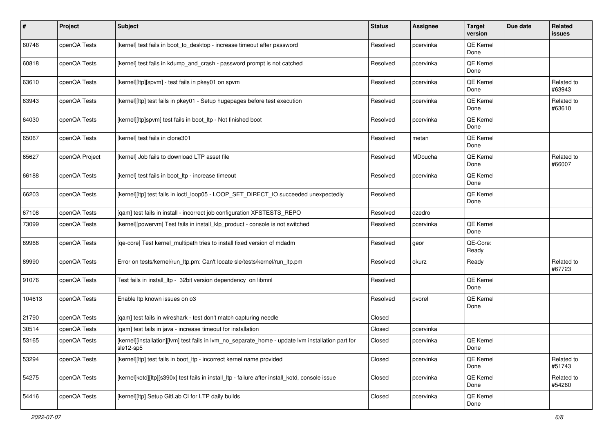| #      | Project        | <b>Subject</b>                                                                                                 | <b>Status</b> | Assignee  | <b>Target</b><br>version | Due date | <b>Related</b><br>issues |
|--------|----------------|----------------------------------------------------------------------------------------------------------------|---------------|-----------|--------------------------|----------|--------------------------|
| 60746  | openQA Tests   | [kernel] test fails in boot_to_desktop - increase timeout after password                                       | Resolved      | pcervinka | QE Kernel<br>Done        |          |                          |
| 60818  | openQA Tests   | [kernel] test fails in kdump and crash - password prompt is not catched                                        | Resolved      | pcervinka | QE Kernel<br>Done        |          |                          |
| 63610  | openQA Tests   | [kernel][ltp][spvm] - test fails in pkey01 on spvm                                                             | Resolved      | pcervinka | QE Kernel<br>Done        |          | Related to<br>#63943     |
| 63943  | openQA Tests   | [kernel][ltp] test fails in pkey01 - Setup hugepages before test execution                                     | Resolved      | pcervinka | QE Kernel<br>Done        |          | Related to<br>#63610     |
| 64030  | openQA Tests   | [kernel][ltp]spvm] test fails in boot_ltp - Not finished boot                                                  | Resolved      | pcervinka | QE Kernel<br>Done        |          |                          |
| 65067  | openQA Tests   | [kernel] test fails in clone301                                                                                | Resolved      | metan     | QE Kernel<br>Done        |          |                          |
| 65627  | openQA Project | [kernel] Job fails to download LTP asset file                                                                  | Resolved      | MDoucha   | QE Kernel<br>Done        |          | Related to<br>#66007     |
| 66188  | openQA Tests   | [kernel] test fails in boot_ltp - increase timeout                                                             | Resolved      | pcervinka | QE Kernel<br>Done        |          |                          |
| 66203  | openQA Tests   | [kernel][ltp] test fails in ioctl_loop05 - LOOP_SET_DIRECT_IO succeeded unexpectedly                           | Resolved      |           | QE Kernel<br>Done        |          |                          |
| 67108  | openQA Tests   | [qam] test fails in install - incorrect job configuration XFSTESTS_REPO                                        | Resolved      | dzedro    |                          |          |                          |
| 73099  | openQA Tests   | [kernel][powervm] Test fails in install_klp_product - console is not switched                                  | Resolved      | pcervinka | QE Kernel<br>Done        |          |                          |
| 89966  | openQA Tests   | [qe-core] Test kernel_multipath tries to install fixed version of mdadm                                        | Resolved      | geor      | QE-Core:<br>Ready        |          |                          |
| 89990  | openQA Tests   | Error on tests/kernel/run_ltp.pm: Can't locate sle/tests/kernel/run_ltp.pm                                     | Resolved      | okurz     | Ready                    |          | Related to<br>#67723     |
| 91076  | openQA Tests   | Test fails in install_ltp - 32bit version dependency on libmnl                                                 | Resolved      |           | QE Kernel<br>Done        |          |                          |
| 104613 | openQA Tests   | Enable Itp known issues on o3                                                                                  | Resolved      | pvorel    | QE Kernel<br>Done        |          |                          |
| 21790  | openQA Tests   | [qam] test fails in wireshark - test don't match capturing needle                                              | Closed        |           |                          |          |                          |
| 30514  | openQA Tests   | [gam] test fails in java - increase timeout for installation                                                   | Closed        | pcervinka |                          |          |                          |
| 53165  | openQA Tests   | [kernel][installation][lvm] test fails in lvm_no_separate_home - update lvm installation part for<br>sle12-sp5 | Closed        | pcervinka | QE Kernel<br>Done        |          |                          |
| 53294  | openQA Tests   | [kernel][ltp] test fails in boot_ltp - incorrect kernel name provided                                          | Closed        | pcervinka | QE Kernel<br>Done        |          | Related to<br>#51743     |
| 54275  | openQA Tests   | [kernel]kotd][ltp][s390x] test fails in install ltp - failure after install kotd, console issue                | Closed        | pcervinka | QE Kernel<br>Done        |          | Related to<br>#54260     |
| 54416  | openQA Tests   | [kernel][ltp] Setup GitLab CI for LTP daily builds                                                             | Closed        | pcervinka | QE Kernel<br>Done        |          |                          |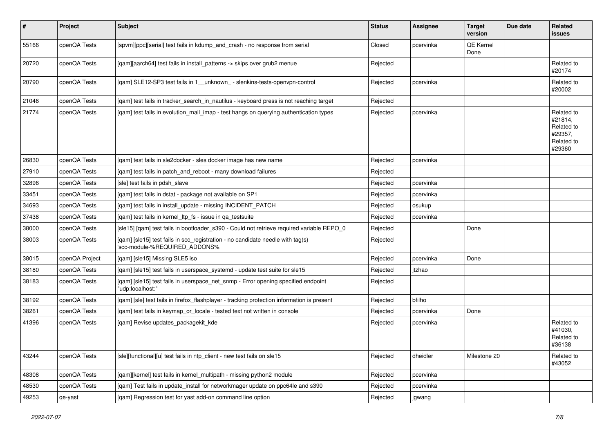| #     | Project        | Subject                                                                                                         | <b>Status</b> | <b>Assignee</b> | <b>Target</b><br>version | Due date | <b>Related</b><br><b>issues</b>                                        |
|-------|----------------|-----------------------------------------------------------------------------------------------------------------|---------------|-----------------|--------------------------|----------|------------------------------------------------------------------------|
| 55166 | openQA Tests   | [spvm][ppc][serial] test fails in kdump_and_crash - no response from serial                                     | Closed        | pcervinka       | QE Kernel<br>Done        |          |                                                                        |
| 20720 | openQA Tests   | [qam][aarch64] test fails in install_patterns -> skips over grub2 menue                                         | Rejected      |                 |                          |          | Related to<br>#20174                                                   |
| 20790 | openQA Tests   | [qam] SLE12-SP3 test fails in 1__unknown_ - slenkins-tests-openvpn-control                                      | Rejected      | pcervinka       |                          |          | Related to<br>#20002                                                   |
| 21046 | openQA Tests   | [gam] test fails in tracker search in nautilus - keyboard press is not reaching target                          | Rejected      |                 |                          |          |                                                                        |
| 21774 | openQA Tests   | [qam] test fails in evolution_mail_imap - test hangs on querying authentication types                           | Rejected      | pcervinka       |                          |          | Related to<br>#21814,<br>Related to<br>#29357,<br>Related to<br>#29360 |
| 26830 | openQA Tests   | [qam] test fails in sle2docker - sles docker image has new name                                                 | Rejected      | pcervinka       |                          |          |                                                                        |
| 27910 | openQA Tests   | [qam] test fails in patch_and_reboot - many download failures                                                   | Rejected      |                 |                          |          |                                                                        |
| 32896 | openQA Tests   | [sle] test fails in pdsh slave                                                                                  | Rejected      | pcervinka       |                          |          |                                                                        |
| 33451 | openQA Tests   | [qam] test fails in dstat - package not available on SP1                                                        | Rejected      | pcervinka       |                          |          |                                                                        |
| 34693 | openQA Tests   | [qam] test fails in install_update - missing INCIDENT_PATCH                                                     | Rejected      | osukup          |                          |          |                                                                        |
| 37438 | openQA Tests   | [qam] test fails in kernel_ltp_fs - issue in qa_testsuite                                                       | Rejected      | pcervinka       |                          |          |                                                                        |
| 38000 | openQA Tests   | [sle15] [qam] test fails in bootloader_s390 - Could not retrieve required variable REPO_0                       | Rejected      |                 | Done                     |          |                                                                        |
| 38003 | openQA Tests   | [qam] [sle15] test fails in scc_registration - no candidate needle with tag(s)<br>'scc-module-%REQUIRED_ADDONS% | Rejected      |                 |                          |          |                                                                        |
| 38015 | openQA Project | [gam] [sle15] Missing SLE5 iso                                                                                  | Rejected      | pcervinka       | Done                     |          |                                                                        |
| 38180 | openQA Tests   | [qam] [sle15] test fails in userspace_systemd - update test suite for sle15                                     | Rejected      | jtzhao          |                          |          |                                                                        |
| 38183 | openQA Tests   | [qam] [sle15] test fails in userspace_net_snmp - Error opening specified endpoint<br>"udp:localhost:"           | Rejected      |                 |                          |          |                                                                        |
| 38192 | openQA Tests   | [qam] [sle] test fails in firefox_flashplayer - tracking protection information is present                      | Rejected      | bfilho          |                          |          |                                                                        |
| 38261 | openQA Tests   | [qam] test fails in keymap_or_locale - tested text not written in console                                       | Rejected      | pcervinka       | Done                     |          |                                                                        |
| 41396 | openQA Tests   | [qam] Revise updates_packagekit_kde                                                                             | Rejected      | pcervinka       |                          |          | Related to<br>#41030,<br>Related to<br>#36138                          |
| 43244 | openQA Tests   | [sle][functional][u] test fails in ntp client - new test fails on sle15                                         | Rejected      | dheidler        | Milestone 20             |          | Related to<br>#43052                                                   |
| 48308 | openQA Tests   | [qam][kernel] test fails in kernel_multipath - missing python2 module                                           | Rejected      | pcervinka       |                          |          |                                                                        |
| 48530 | openQA Tests   | [qam] Test fails in update_install for networkmager update on ppc64le and s390                                  | Rejected      | pcervinka       |                          |          |                                                                        |
| 49253 | qe-yast        | [gam] Regression test for yast add-on command line option                                                       | Rejected      | jgwang          |                          |          |                                                                        |